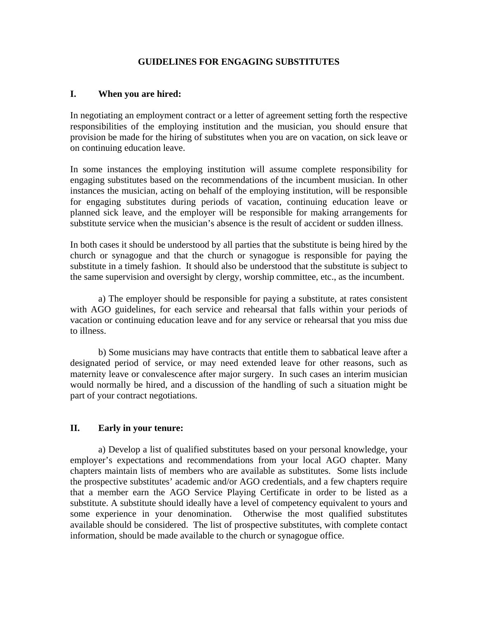## **GUIDELINES FOR ENGAGING SUBSTITUTES**

## **I. When you are hired:**

In negotiating an employment contract or a letter of agreement setting forth the respective responsibilities of the employing institution and the musician, you should ensure that provision be made for the hiring of substitutes when you are on vacation, on sick leave or on continuing education leave.

In some instances the employing institution will assume complete responsibility for engaging substitutes based on the recommendations of the incumbent musician. In other instances the musician, acting on behalf of the employing institution, will be responsible for engaging substitutes during periods of vacation, continuing education leave or planned sick leave, and the employer will be responsible for making arrangements for substitute service when the musician's absence is the result of accident or sudden illness.

In both cases it should be understood by all parties that the substitute is being hired by the church or synagogue and that the church or synagogue is responsible for paying the substitute in a timely fashion. It should also be understood that the substitute is subject to the same supervision and oversight by clergy, worship committee, etc., as the incumbent.

a) The employer should be responsible for paying a substitute, at rates consistent with AGO guidelines, for each service and rehearsal that falls within your periods of vacation or continuing education leave and for any service or rehearsal that you miss due to illness.

b) Some musicians may have contracts that entitle them to sabbatical leave after a designated period of service, or may need extended leave for other reasons, such as maternity leave or convalescence after major surgery. In such cases an interim musician would normally be hired, and a discussion of the handling of such a situation might be part of your contract negotiations.

# **II. Early in your tenure:**

a) Develop a list of qualified substitutes based on your personal knowledge, your employer's expectations and recommendations from your local AGO chapter. Many chapters maintain lists of members who are available as substitutes. Some lists include the prospective substitutes' academic and/or AGO credentials, and a few chapters require that a member earn the AGO Service Playing Certificate in order to be listed as a substitute. A substitute should ideally have a level of competency equivalent to yours and some experience in your denomination. Otherwise the most qualified substitutes available should be considered. The list of prospective substitutes, with complete contact information, should be made available to the church or synagogue office.